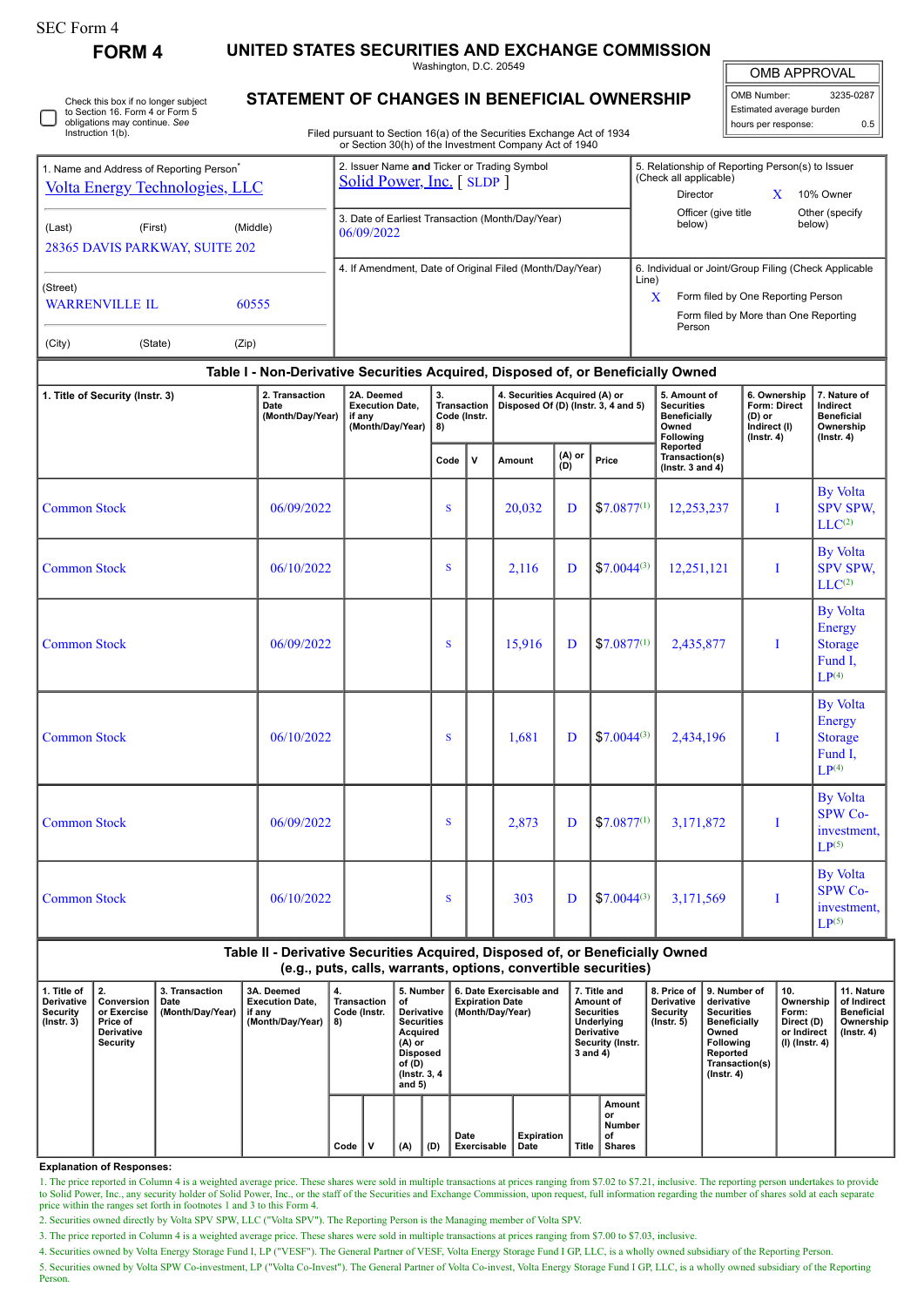| SEC Form 4 |  |
|------------|--|
|------------|--|

**FORM 4 UNITED STATES SECURITIES AND EXCHANGE COMMISSION**

Washington, D.C. 20549

| OMB APPROVAL |
|--------------|
|--------------|

 $\sqrt{1}$ 

|                                                                                                                              |         |                |                                                                                                                                   |                                                                                        |                                                                             | <b>UITE AF FINUTAL</b>   |
|------------------------------------------------------------------------------------------------------------------------------|---------|----------------|-----------------------------------------------------------------------------------------------------------------------------------|----------------------------------------------------------------------------------------|-----------------------------------------------------------------------------|--------------------------|
| Check this box if no longer subject<br>to Section 16. Form 4 or Form 5<br>obligations may continue. See<br>Instruction 1(b). |         |                | <b>STATEMENT OF CHANGES IN BENEFICIAL OWNERSHIP</b><br>Filed pursuant to Section 16(a) of the Securities Exchange Act of 1934     | OMB Number:<br>Estimated average burden<br>hours per response:                         | 3235-0287<br>0.5                                                            |                          |
| 1. Name and Address of Reporting Person <sup>®</sup><br><b>Volta Energy Technologies, LLC</b>                                |         |                | or Section 30(h) of the Investment Company Act of 1940<br>2. Issuer Name and Ticker or Trading Symbol<br>Solid Power, Inc. [SLDP] | 5. Relationship of Reporting Person(s) to Issuer<br>(Check all applicable)<br>Director |                                                                             | 10% Owner                |
| (Last)<br>28365 DAVIS PARKWAY, SUITE 202                                                                                     | (First) | (Middle)       | 3. Date of Earliest Transaction (Month/Day/Year)<br>06/09/2022                                                                    | Officer (give title)<br>below)                                                         |                                                                             | Other (specify<br>below) |
| (Street)<br><b>WARRENVILLE IL</b><br>(City)                                                                                  | (State) | 60555<br>(Zip) | 4. If Amendment, Date of Original Filed (Month/Day/Year)                                                                          | 6. Individual or Joint/Group Filing (Check Applicable<br>Line)<br>X<br>Person          | Form filed by One Reporting Person<br>Form filed by More than One Reporting |                          |
|                                                                                                                              |         |                | Table I - Non-Derivative Securities Acquired, Disposed of, or Beneficially Owned                                                  |                                                                                        |                                                                             |                          |

## **Table I - Non-Derivative Securities Acquired, Disposed of, or Beneficially Owned**

| 1. Title of Security (Instr. 3) | 2. Transaction<br>Date<br>(Month/Day/Year) | 2A. Deemed<br><b>Execution Date.</b><br>if any<br>(Month/Day/Year) | 3.<br><b>Transaction</b><br>Code (Instr.<br>8) |              | 4. Securities Acquired (A) or<br>Disposed Of (D) (Instr. 3, 4 and 5) |               |                 | 5. Amount of<br><b>Securities</b><br><b>Beneficially</b><br>Owned<br>Following | 6. Ownership<br>Form: Direct<br>$(D)$ or<br>Indirect (I)<br>$($ lnstr. 4 $)$ | 7. Nature of<br>Indirect<br><b>Beneficial</b><br>Ownership<br>$($ Instr. 4 $)$     |
|---------------------------------|--------------------------------------------|--------------------------------------------------------------------|------------------------------------------------|--------------|----------------------------------------------------------------------|---------------|-----------------|--------------------------------------------------------------------------------|------------------------------------------------------------------------------|------------------------------------------------------------------------------------|
|                                 |                                            |                                                                    | Code                                           | $\mathsf{v}$ | Amount                                                               | (A) or<br>(D) | Price           | Reported<br>Transaction(s)<br>(Instr. 3 and $4$ )                              |                                                                              |                                                                                    |
| <b>Common Stock</b>             | 06/09/2022                                 |                                                                    | S                                              |              | 20,032                                                               | D             | $$7.0877^{(1)}$ | 12,253,237                                                                     | T                                                                            | <b>By Volta</b><br><b>SPV SPW,</b><br>LLC <sup>(2)</sup>                           |
| <b>Common Stock</b>             | 06/10/2022                                 |                                                                    | S                                              |              | 2,116                                                                | D             | $$7.0044^{(3)}$ | 12,251,121                                                                     | T                                                                            | <b>By Volta</b><br><b>SPV SPW.</b><br>LLC <sup>(2)</sup>                           |
| <b>Common Stock</b>             | 06/09/2022                                 |                                                                    | S                                              |              | 15,916                                                               | D             | $$7.0877^{(1)}$ | 2,435,877                                                                      | T                                                                            | <b>By Volta</b><br>Energy<br><b>Storage</b><br>Fund I,<br>LP <sup>(4)</sup>        |
| <b>Common Stock</b>             | 06/10/2022                                 |                                                                    | S                                              |              | 1,681                                                                | D             | $$7.0044^{(3)}$ | 2,434,196                                                                      | T                                                                            | <b>By Volta</b><br><b>Energy</b><br><b>Storage</b><br>Fund I.<br>LP <sup>(4)</sup> |
| <b>Common Stock</b>             | 06/09/2022                                 |                                                                    | S                                              |              | 2,873                                                                | D             | $$7.0877^{(1)}$ | 3,171,872                                                                      | I                                                                            | <b>By Volta</b><br><b>SPW Co-</b><br>investment.<br>LP(5)                          |
| <b>Common Stock</b>             | 06/10/2022                                 |                                                                    | S                                              |              | 303                                                                  | D             | $$7.0044^{(3)}$ | 3,171,569                                                                      | T                                                                            | <b>By Volta</b><br>SPW Co-<br>investment,<br>$LP^{(5)}$                            |

## **Table II - Derivative Securities Acquired, Disposed of, or Beneficially Owned (e.g., puts, calls, warrants, options, convertible securities)**

| 1. Title of<br><b>Derivative</b><br><b>Security</b><br>$($ lnstr. 3 $)$ | 2.<br>Conversion<br>or Exercise<br>Price of<br><b>Derivative</b><br>Security | 3. Transaction<br>Date<br>(Month/Day/Year) | 3A. Deemed<br><b>Execution Date,</b><br>, if any<br>(Month/Day/Year) | 4.<br>8) | Transaction<br>оf<br>Code (Instr. |   | 5. Number<br>Derivative<br><b>Securities</b><br>Acquired<br>$(A)$ or<br>Disposed<br>of (D)<br>(Instr. 3, 4)<br>and $5)$ | 6. Date Exercisable and<br><b>Expiration Date</b><br>(Month/Dav/Year) |                     | 7. Title and<br>Amount of<br><b>Securities</b><br>Underlying<br><b>Derivative</b><br>Security (Instr.<br>3 and 4) |       | 8. Price of<br><b>Derivative</b><br>Security<br>$($ lnstr. 5 $)$ | 9. Number of<br>derivative<br><b>Securities</b><br><b>Beneficially</b><br>Owned<br>Following<br>Reported<br>Transaction(s)<br>$($ lnstr. 4 $)$ | 10.<br>Ownership<br>Form:<br>Direct (D)<br>or Indirect<br>(I) (Instr. 4) | 11. Nature<br>of Indirect<br>Beneficial<br>Ownership<br>$($ lnstr. 4 $)$ |
|-------------------------------------------------------------------------|------------------------------------------------------------------------------|--------------------------------------------|----------------------------------------------------------------------|----------|-----------------------------------|---|-------------------------------------------------------------------------------------------------------------------------|-----------------------------------------------------------------------|---------------------|-------------------------------------------------------------------------------------------------------------------|-------|------------------------------------------------------------------|------------------------------------------------------------------------------------------------------------------------------------------------|--------------------------------------------------------------------------|--------------------------------------------------------------------------|
|                                                                         |                                                                              |                                            |                                                                      |          | Code                              | v | (A)                                                                                                                     | (D)                                                                   | Date<br>Exercisable | Expiration<br>Date                                                                                                | Title | Amount<br>or<br><b>Number</b><br>οf<br>Shares                    |                                                                                                                                                |                                                                          |                                                                          |

**Explanation of Responses:**

1. The price reported in Column 4 is a weighted average price. These shares were sold in multiple transactions at prices ranging from \$7.02 to \$7.21, inclusive. The reporting person undertakes to provide to Solid Power, Inc., any security holder of Solid Power, Inc., or the staff of the Securities and Exchange Commission, upon request, full information regarding the number of shares sold at each separate price within the r

2. Securities owned directly by Volta SPV SPW, LLC ("Volta SPV"). The Reporting Person is the Managing member of Volta SPV.

3. The price reported in Column 4 is a weighted average price. These shares were sold in multiple transactions at prices ranging from \$7.00 to \$7.03, inclusive.

4. Securities owned by Volta Energy Storage Fund I, LP ("VESF"). The General Partner of VESF, Volta Energy Storage Fund I GP, LLC, is a wholly owned subsidiary of the Reporting Person.

5. Securities owned by Volta SPW Co-investment, LP ("Volta Co-Invest"). The General Partner of Volta Co-invest, Volta Energy Storage Fund I GP, LLC, is a wholly owned subsidiary of the Reporting

**Person**